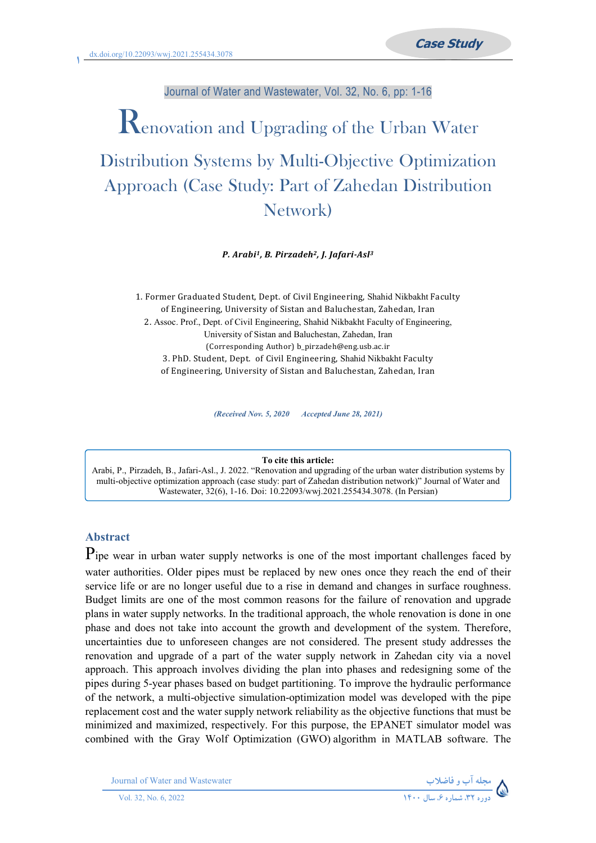# Journal of Water and Wastewater, Vol. 32, No. 6, pp: 1-16

# Renovation and Upgrading of the Urban Water Distribution Systems by Multi-Objective Optimization Approach (Case Study: Part of Zahedan Distribution Network)

*P. Arabi1, B. Pirzadeh2, J. Jafari-Asl3*

1. Former Graduated Student, Dept. of Civil Engineering, Shahid Nikbakht Faculty of Engineering, University of Sistan and Baluchestan, Zahedan, Iran 2. Assoc. Prof., Dept. of Civil Engineering, Shahid Nikbakht Faculty of Engineering, University of Sistan and Baluchestan, Zahedan, Iran (Corresponding Author) b\_pirzadeh@eng.usb.ac.ir 3. PhD. Student, Dept. of Civil Engineering, Shahid Nikbakht Faculty of Engineering, University of Sistan and Baluchestan, Zahedan, Iran

*(Received Nov. 5, 2020 Accepted June 28, 2021)*

#### **To cite this article:**

Arabi, P., Pirzadeh, B., Jafari-Asl., J. 2022. "Renovation and upgrading of the urban water distribution systems by multi-objective optimization approach (case study: part of Zahedan distribution network)" Journal of Water and Wastewater, 32(6), 1-16. Doi: 10.22093/wwj.2021.255434.3078. (In Persian)

# **Abstract**

Pipe wear in urban water supply networks is one of the most important challenges faced by water authorities. Older pipes must be replaced by new ones once they reach the end of their service life or are no longer useful due to a rise in demand and changes in surface roughness. Budget limits are one of the most common reasons for the failure of renovation and upgrade plans in water supply networks. In the traditional approach, the whole renovation is done in one phase and does not take into account the growth and development of the system. Therefore, uncertainties due to unforeseen changes are not considered. The present study addresses the renovation and upgrade of a part of the water supply network in Zahedan city via a novel approach. This approach involves dividing the plan into phases and redesigning some of the pipes during 5-year phases based on budget partitioning. To improve the hydraulic performance of the network, a multi-objective simulation-optimization model was developed with the pipe replacement cost and the water supply network reliability as the objective functions that must be minimized and maximized, respectively. For this purpose, the EPANET simulator model was combined with the Gray Wolf Optimization (GWO) algorithm in MATLAB software. The

Journal of Water and Wastewater **-**

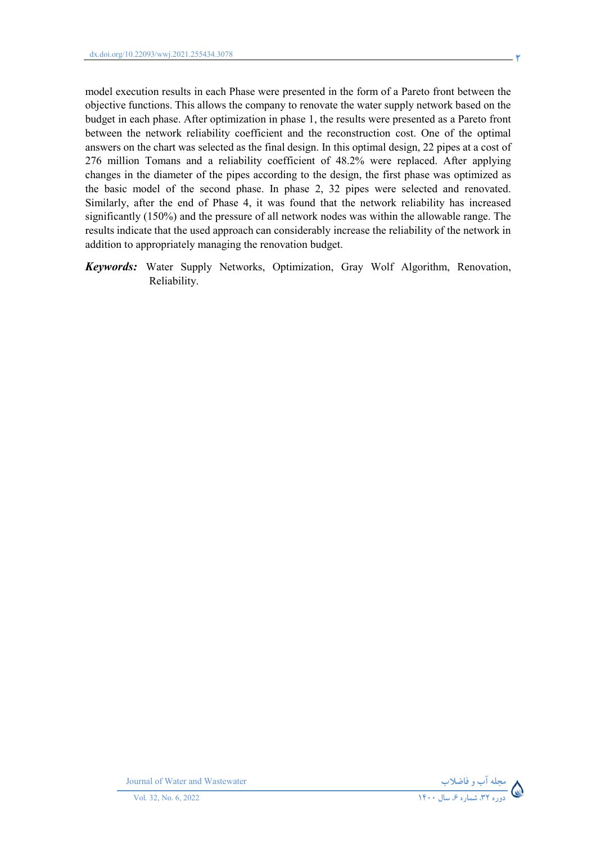model execution results in each Phase were presented in the form of a Pareto front between the objective functions. This allows the company to renovate the water supply network based on the budget in each phase. After optimization in phase 1, the results were presented as a Pareto front between the network reliability coefficient and the reconstruction cost. One of the optimal answers on the chart was selected as the final design. In this optimal design, 22 pipes at a cost of 276 million Tomans and a reliability coefficient of 48.2% were replaced. After applying changes in the diameter of the pipes according to the design, the first phase was optimized as the basic model of the second phase. In phase 2, 32 pipes were selected and renovated. Similarly, after the end of Phase 4, it was found that the network reliability has increased significantly (150%) and the pressure of all network nodes was within the allowable range. The results indicate that the used approach can considerably increase the reliability of the network in addition to appropriately managing the renovation budget.

*Keywords:* Water Supply Networks, Optimization, Gray Wolf Algorithm, Renovation, Reliability.



Journal of Water and Wastewater **-**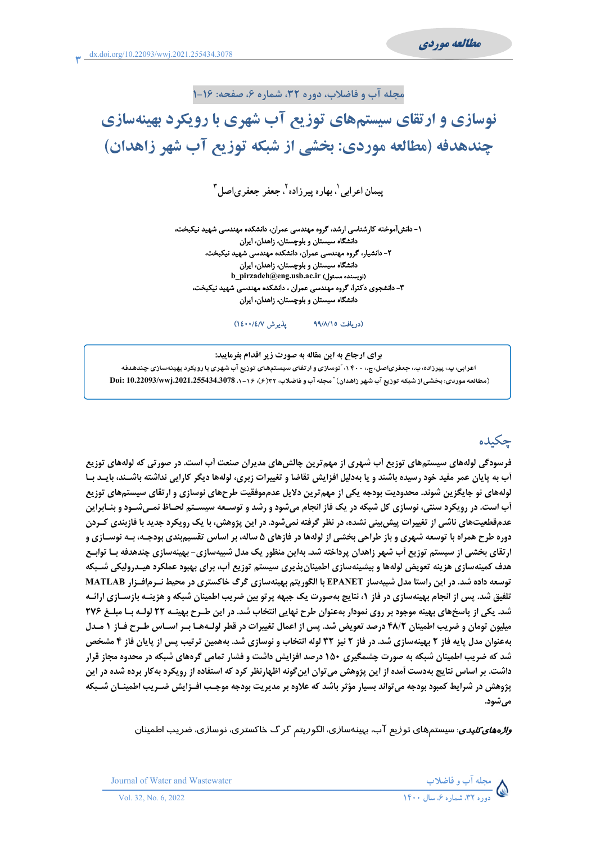## مجله آب و فاضلاب، دوره ۳۲، شماره ۶، صفحه: ۱۶-۱

# نوسازی و ارتقای سیستمهای توزیع آب شهری با رویکرد بهینهسازی چندهدفه (مطالعه موردی: بخشی از شبکه توزیع آب شهر زاهدان)

یپمان اعرابی`، بھار ہ پیر زادہ<sup>۲</sup>، جعفر (جعفر ی|صل<sup>۳</sup>

۱- دانشآموخته کارشناسی ارشد، گروه مهندسی عمران، دانشکده مهندسی شهید نیکبخت، دانشگاه سیستان و بلوچستان، زاهدان، ایران ۲– دانشیار، گروه مهندسی عمران، دانشکده مهندسی شهید نیکبخت، دانشگاه سیستان و بلوچستان، زاهدان، ایران b\_pirzadeh@eng.usb.ac.ir (نویسنده مسئول) ۳- دانشجوی دکترا، گروه مهندسی عمران ، دانشکده مهندسی شهید نیکبخت، دانشگاه سیستان و بلوچستان، زاهدان، ایران

> يذيرش ١٤٠٠/٤/٧) (دريافت ٩٩/٨/١٥

برای ارجاع به این مقاله به صورت زیر اقدام بفرمایید: اعرابی، پ،، پیرزاده، ب،، جعفریاصل، ج،، ۴۰۰، "نوسازی و ارتقای سیستمهای توزیع آب شهری با رویکرد بهینهسازی چندهدفه (مطالعه موردی: بخشی از شبکه توزیع آب شهر زاهدان) "مجله آب و فاضلاب، ۱۶/(۶)، ۱۶–۱۰، 10.22093/wwj.2021.255434.3078

# جكىدە

فرسودگی لولههای سیستمهای توزیع اَب شهری از مهمترین چالشهای مدیران صنعت اَب است. در صورتی که لولههای توزیع آب به پایان عمر مفید خود رسیده باشند و یا بهدلیل افزایش تقاضا و تغییرات زبری، لولهها دیگر کارایی نداشته باشـند، بایـد بـا لولههای نو جایگزین شوند. محدودیت بودجه یکی از مهم ترین دلایل عدمموفقیت طرحهای نوسازی و ارتقای سیستمهای توزیع **آب است. در رویکرد سنتی، نوسازی کل شبکه در یک فاز انجام میشود و رشد و توسـعه سیسـتم لحـاظ نمـیشـود و بنـابراین** عدمقطعیتهای ناشی از تغییرات پیش بینی نشده، در نظر گرفته نمی شود. در این پژوهش، با یک رویکرد جدید با فازبندی کـردن دوره طرح همراه با توسعه شهری و باز طراحی بخشی از لولهها در فازهای ۵ ساله، بر اساس تقسیم,بندی بودجـه، بـه نوسـازی و ارتقای بخشی از سیستم توزیع آب شهر زاهدان پرداخته شد. بهاین منظور یک مدل شبیهسازی- بهینهسازی چندهدفه بـا توابـع هدف کمینهسازی هزینه تعویض لولهها و بیشینهسازی اطمینان پذیری سیستم توزیع آب، برای بهبود عملکرد هیـدرولیکی شــبکه توسعه داده شد. در این راستا مدل شبیهساز EPANET با الگوریتم بهینهسازی گرگ خاکستری در محیط نـرمافـزار MATLAB تلفیق شد. پس از انجام بهینهسازی در فاز ۱، نتایج بهصورت یک جبهه پرتو بین ضریب اطمینان شبکه و هزینــه بازســازی ارائــه شد. یکی از پاسخهای بهینه موجود بر روی نمودار بهعنوان طرح نهایی انتخاب شد. در این طـرح بهینـه ۲۲ لولـه بـا مبلـغ ۲۷۶ میلیون تومان و ضریب اطمینان ۴۸/۲ درصد تعویض شد. پس از اعمال تغییرات در قطر لولـههـا بـر اسـاس طـرح فـاز ۱ مـدل بهعنوان مدل پایه فاز ۲ بهینهسازی شد. در فاز ۲ نیز ۳۲ لوله انتخاب و نوسازی شد. بههمین ترتیب پس از پایان فاز ۴ مشخص شد که ضریب اطمینان شبکه به صورت چشمگیری ۱۵۰ درصد افزایش داشت و فشار تمامی گرههای شبکه در محدوه مجاز قرار داشت. بر اساس نتایج بهدست آمده از این پژوهش می توان این گونه اظهارنظر کرد که استفاده از رویکرد بهکار برده شده در این يژوهش در شرايط كمبود بودجه مي تواند بسيار مؤثر باشد كه علاوه بر مديريت بودجه موجـب افــزايش ضــريب اطمينــان شــبكه مي شود.

*واڈههای کلیدی*: سیستمهای توزیع آب، بہینهسازی، الگوریتم گرگ خاکستری، نوسازی، ضریب اطمینان



Journal of Water and Wastewater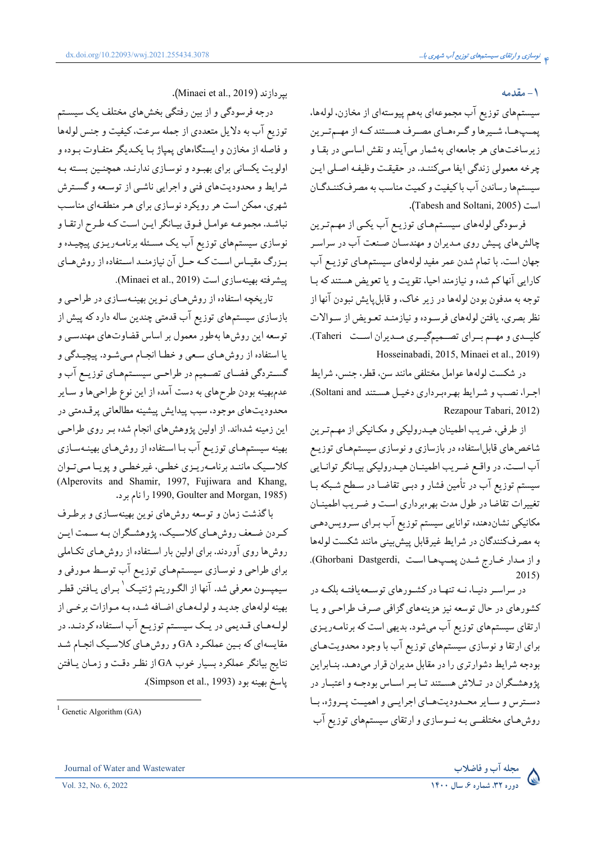#### **1 - مقدمه**

سیستمهای توزیع اب مجموعهای بههم پیوستهای از مخازن، لولهها، پمـپھـا، شــيرها و گــرەهــاي مصــرف هســتند كــه از مهــمتــرين زیرساختهای هر جامعهای بهشمار می|یند و نقش اساسی در بقـا و چرخه معمولي زندگي ايفا مـيكننـد. در حقيقـت وظيفـه اصـلي ايـن سیستمها رساندن اب باکیفیت و کمیت مناسب به مصرفکننـدگـان .(Tabesh and Soltani, 2005).  $\overline{\phantom{a}}$ 

فرسودگی لولههای سیسـتمهـای توزیـع اب یکـی از مهـمتـرین چالشهای پـیش روی مـدیران و مهندسـان صـنعت اب در سراسـر جهان است. با تمام شدن عمر مفید لولههای سیستمهـای توزیـع اب کارایی انها کم شده و نیازمند احیا، تقویت و یا تعویض هستند که بـا توجه به مدفون بودن لولهها در زير خاک، و قابلپايش نبودن انها از نظر بصري. يافتن لولههاي فرسـوده و نيازمنـد تعـويض از سـوالات کلیــدي و مهــم بــراي تصــميمگيــري مــديران اســت Taheri). .Hosseinabadi, 2015, Minaei et al., 2019)

در شکست لولهها عوامل مختلفی مانند سن، قطر، جنس، شرایط اجرا، نصب و شرايط بهرهبرداري دخيل هستند Soltani and). .Rezapour Tabari, 2012)

از طرفي، ضريب اطمينان هيـدروليكي و مكـانيكي از مهـمتـرين شاخصهای قابل|ستفاده در بازسازی و نوسازی سیستمهـای توزیـع اب اسـت. در واقـع ضـريب اطمينــان هيــدروليكي بيــانگر توانــايي سیستم توزیع اب در تامین فشار و دبـی تقاضـا در سـطح شـبکه بــا تغییرات تقاضا در طول مدت بهرهبرداری است و ضـریب اطمینـان مکانیکی نشاندهنده توانایی سیستم توزیع اب بـرای سـرویسدهـی ه مصرفکنندگان در شرايط غيرقابل پيش بيني مانند شکست لولهها ļ و از مـدار خــارج شــدن پمــپـهــا اســت ,Ghorbani Dastgerdi). .2015)

در سراسـر دنيــا، نــه تنهــا در كشــورهاي توســعه يافتــه بلكــه در کشورهای در حال توسعه نیز هزینههای گزافی صـرف طراحـی و یـا ارتقای سیستمهای توزیع اب میشود. بدیهی است که برنامـهریـزی برای ارتقا و نوسازی سیستمهای توزیع اب با وجود محدویتهـای بودجه شرایط دشوارتری را در مقابل مدیران قرار میدهـد. بنـابراین پژوهشـگران در تــلاش هســتند تــا بــر اســاس بودجــه و اعتبــار در دســترس و ســاير محــدوديتهــاي اجرايــي و اهميــت پــروژه، بــا روشهـاى مختلفــى بـه نــوسازى و ارتقاى سيستمهاى توزيع اب

.(Minaei et al., 2019).

درجه فرسودگی و از بین رفتگی بخشهای مختلف یک سیسـتم توزیع اب به دلایل متعددی از جمله سرعت، کیفیت و جنس لولهها و فاصله از مخازن و ایستگاههای پمپاژ بـا یکـدیگر متفـاوت بـوده و اولویت یکسانی برای بهبـود و نوسـازی ندارنـد. همچنـین بسـته بـه شرایط و محدودیتهای فنی و اجرایی ناشـی از توسـعه و گسـترش شهری، ممکن است هر رویکرد نوسازی برای هـر منطقـهای مناسـب نباشد. مجموعـه عوامـل فـوق بيـانگر ايـن اسـت كـه طـرح ارتقـا و نوسازی سیستمهای توزیع اب یک مسـئله برنامـهریـزی پیچیـده و بــزرگ مقیــاس اســت کــه حــل ان نیازمنــد اســتفاده از روش،هــای پیشرفته بهینهسازی است (Minaei et al., 2019).

تاریخچه استفاده از روشهـای نـوین بهینـهسـازی در طراحـی و بازسازی سیستمهای توزیع اب قدمتی چندین ساله دارد که پیش از توسعه این روشها بهطور معمول بر اساس قضاوتهای مهندسـی و یا استفاده از روش،حای سـعی و خطـا انجـام مـیشـود. پیچیـدگی و گســتردگي فضــاي تصــميم در طراحــي سيســتمهــاي توزيــع اب و عدمبهينه بودن طرحهاي به دست امده از اين نوع طراحيها و سـاير محدودیتهای موجود، سبب پیدایش پیشینه مطالعاتی پرقـدمتی در این زمینه شدهاند. از اولین پژوهشهای انجام شده بـر روی طراحـی بهینه سیستمهـای توزیـع اب بـا اسـتفاده از روش۵حای بهینـهسـازی کلاسـیک ماننـد برنامـهریـزی خطـی، غیرخطـی و پویـا مـیتـوان (Alperovits and Shamir, 1997, Fujiwara and Khang, .4 A3 /.1990, Goulter and Morgan, 1985)

باگذشت زمان و توسعه روشهای نوین بهینهسـازی و برطـرف کـردن ضـعف روش،حـاي کلاسـيک، پژوهشــگران بــه ســمت ايــن روشها روی اوردند. برای اولین بار استفاده از روشهـای تکـاملی برای طراحی و نوسـازی سیسـتمهـای توزیـع اب توسـط مـورفی و سیمپسون معرفی شد. آنها از الگـوریتم ژنتیـک`بـرای یـافتن قطـر بهینه لولههای جدیـد و لولـههـای اضـافه شـده بـه مـوازات برخـی از لولـههـاي قــديمي در يــک سيســتم توزيــع اب اســتفاده کردنــد. در مقایسهای که بـین عملکـرد GA و روشهـای کلاسـیک انجـام شـد نتايج بيانگر عملكرد بسيار خوب GA از نظر دقت و زمـان يـافتن پاسخ بھینه بود (Simpson et al., 1993).

 $<sup>1</sup>$  Genetic Algorithm (GA)</sup>

Journal of Water and Wastewater **-**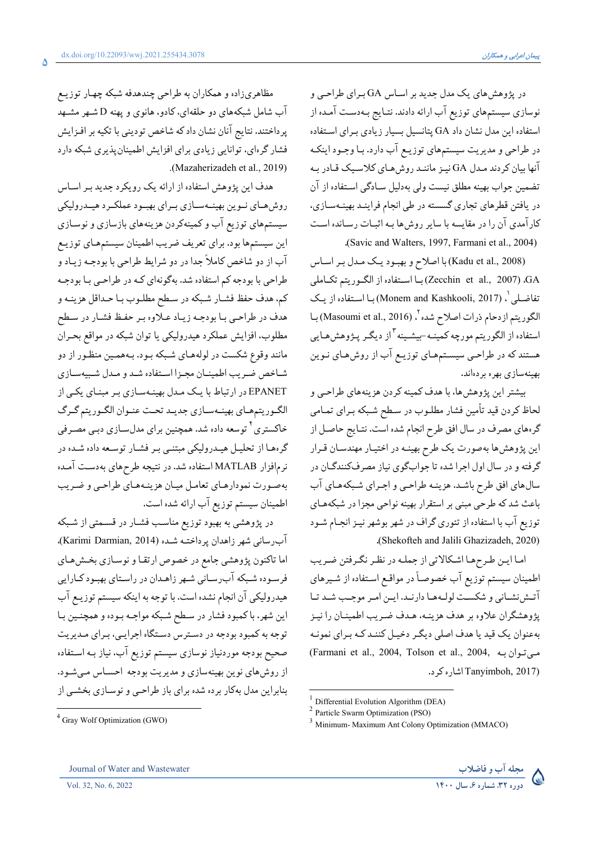مظاهریزاده و همکاران به طراحی چندهدفه شبکه چهـار توزيـع

آب شامل شبکههای دو حلقهای، کادو، هانوی و پهنه D شـهر مشـهد پرداختند. نتایج آنان نشان داد که شاخص تودینی با تکیه بر افـزایش

فشار گرهای، توانایی زیادی برای افزایش اطمینانپذیری شبکه دارد

هدف این پژوهش استفاده از ارائه یک رویکرد جدید بـر اسـاس

روش هـاي نـوين بهينــهسـازي بـراي بهبـود عملكـرد هيــدروليكي

سیستمهای توزیع آب و کمینهکردن هزینههای بازسازی و نوسـازی

این سیستمها بود. برای تعریف ضریب اطمینان سیستمهـای توزیـع

آب از دو شاخص کاملاً جدا در دو شرایط طراحی با بودجـه زیـاد و

طراحي با بودجه كم استفاده شد. بهگونهاي كـه در طراحـي بـا بودجـه

كم، هدف حفظ فشـار شـبكه در سـطح مطلـوب بـا حـداقل هزينــه و

هدف در طراحيي با بودجـه زيـاد عـلاوه بـر حفـظ فشـار در سـطح مطلوب، افزايش عملكرد هيدروليكي يا توان شبكه در مواقع بحـران

مانند وقوع شکست در لولههـاي شـبکه بـود. بـههمـين منظـور از دو شاخص ضريب اطمينان مجـزا اسـتفاده شـد و مـدل شـبيهسـازي

EPANET در ارتباط با یک مدل بهینـهسـازی بـر مبنـای یکـی از

الگـوريتمهـاي بهينـهسـازي جديـد تحـت عنـوان الگـوريتم گـرگ

خاکستری<sup>۲</sup> توسعه داده شد. همچنین برای مدلسـازی دبـی مصـرفی

گرهها از تحلیـل هیـدرولیکی مبتنـی بـر فشـار توسـعه داده شـده در

نرمافزار MATLAB استفاده شد. در نتیجه طرحهای بهدست آمده

بهصورت نمودارهاي تعامل ميان هزينـههـاي طراحـي و ضـريب

در پژوهشی به بهبود توزیع مناسب فشـار در قسـمتی از شـبکه آب رساني شهر زاهدان يرداختـه شـده (Karimi Darmian, 2014).

اما تاکنون پژوهشی جامع در خصوص ارتقا و نوسـازی بخـش،هـای

فرسوده شبکه آب رسانی شهر زاهدان در راستای بهبود کـارایی

هیدرولیکی آن انجام نشده است. با توجه به اینکه سیستم توزیـع آب

اين شهر، باكمبود فشار در سطح شبكه مواجـه بـوده و همچنـين بـا

توجه به کمبود بودجه در دسترس دستگاه اجرایی، بـرای مـدیریت

صحیح بودجه موردنیاز نوسازی سیستم توزیع آب، نیاز بـه اسـتفاده

از روش های نوین بهینهسازی و مدیریت بودجه احسـاس مـی شـود.

بنابراین مدل بهکار برده شده برای باز طراحـی و نوسـازی بخشـی از

اطمينان سيستم توزيع آب ارائه شده است.

.(Mazaherizadeh et al., 2019)

در پژوهش های یک مدل جدید بر اساس GA برای طراحی و نوسازی سیستمهای توزیع آب ارائه دادند. نتـایج بـهدسـت آمـده از استفاده این مدل نشان داد GA پتانسیل بسیار زیادی بـرای اسـتفاده در طراحی و مدیریت سیستمهای توزیـع آب دارد. بـا وجـود اینکـه آنها بیان کردند مدل GA نیـز ماننـد روش هـای کلاسـیک قـادر بـه تضمین جواب بهینه مطلق نیست ولی بهدلیل سـادگی اسـتفاده از آن در یافتن قطرهای تجاری گسسته در طی انجام فراینـد بهینـهسـازی، کارآمدی آن را در مقایسه با سایر روش ها بـه اثبـات رسـانده اسـت (Savic and Walters, 1997, Farmani et al., 2004).

(Kadu et al., 2008) با اصلاح و بهبود يك مدل بر اساس GA. (2007 ,Zecchin et al., 2007)با استفاده از الكوريتم تكـاملي تفاضـلي `. (Monem and Kashkooli, 2017)بــا اسـتفاده از يـك الكوريتم ازدحام ذرات اصلاح شده ٢ (2016 ,Masoumi et al., 2016) بـا استفاده از الگوریتم مورچه کمینــه-بیشــینه<sup>۳</sup> از دیگـر پــژوهش هــایی هستند که در طراحـي سيسـتمهـاي توزيـع آب از روشهـاي نـوين ىھىنەسازى بھرە بردەاند.

بیشتر این پژوهشها، با هدف کمینه کردن هزینههای طراحمی و لحاظ كردن قيد تأمين فشار مطلـوب در سـطح شـبكه بـراي تمـامي گرههای مصرف در سال افق طرح انجام شده است. نتـايج حاصـل از این پژوهش ها بهصورت یک طرح بهینـه در اختیـار مهندسـان قـرار گرفته و در سال اول اجرا شده تا جوابگوي نياز مصرفكنندگـان در سالهای افق طرح باشد. هزینـه طراحـی و اجـرای شـبکههـای آب باعث شد که طرحی مبنی بر استقرار بهینه نواحی مجزا در شبکههـای توزیع آب با استفاده از تئوری گراف در شهر بوشهر نیـز انجـام شـود (Shekofteh and Jalili Ghazizadeh, 2020).

اما اين طرحها اشكالاتي از جمله در نظر نگرفتن ضريب اطمینان سیستم توزیع آب خصوصاً در مواقع استفاده از شـیرهای آتش نشانی و شکست لولهها دارنید. این امیر موجب شید تبا يژوهشگران علاوه بر هدف هزينـه، هـدف ضـريب اطمينـان را نيـز بهعنوان یک قید یا هدف اصلی دیگر دخیـل کننـد کـه بـرای نمونـه (Farmani et al., 2004, Tolson et al., 2004, میتوان به Tanyimboh, 2017) اشاره کرد.

<sup>4</sup> Gray Wolf Optimization (GWO)



Differential Evolution Algorithm (DEA)

 $2$  Particle Swarm Optimization (PSO)

<sup>&</sup>lt;sup>3</sup> Minimum- Maximum Ant Colony Optimization (MMACO)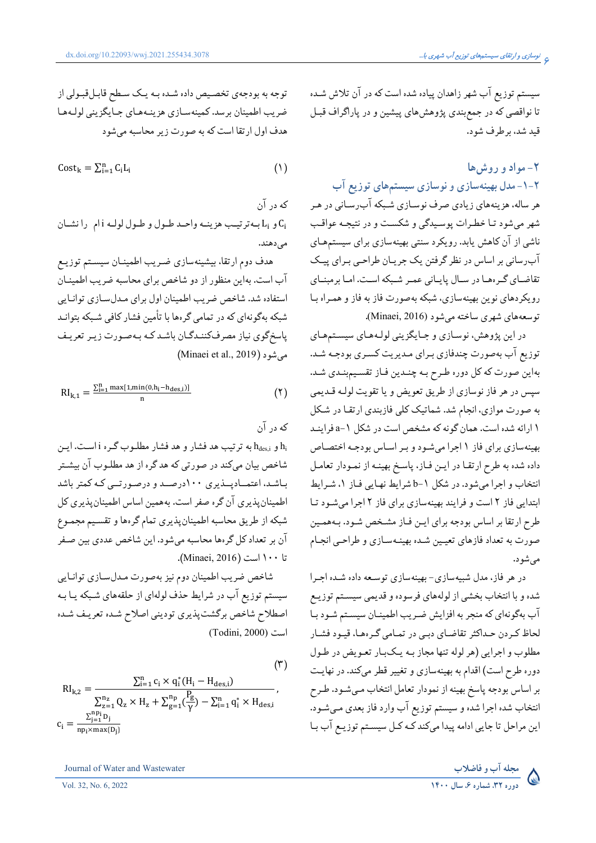سیستم توزیع آب شهر زاهدان پیاده شده است که در آن تلاش شـده تا نواقصي كه در جمع بندي پژوهش هاي پيشين و در پاراگراف قبـل قىد شد، بر طرف شود.

# ٢- مواد و روش ها ۲-۱-مدل بهینهسازی و نوسازی سیستمهای توزیع آب هر ساله، هزینههای زیادی صرف نوسـازی شـبکه آبرسـانی در هـر شهر میشود تـا خطـرات پوسـیدگی و شکسـت و در نتیجـه عواقـب ناشی از آن کاهش یابد. رویکرد سنتی بهینهسازی برای سیستمهـای آب رسانی بر اساس در نظر گرفتن یک جریـان طراحـی بـرای پیـک تقاضای گرهها در سال پایانی عمر شبکه است. اما برمبنای رویکردهای نوین بهینهسازی، شبکه بهصورت فاز به فاز و همـراه بـا توسعههاي شهري ساخته مي شود (Minaei, 2016).

در اين پژوهش، نوسازي و جـايگزيني لولـههـاي سيسـتمهـاي توزیع آب بهصورت چندفازی برای مدیریت کسری بودجـه شـد. بهاین صورت که کل دوره طـرح بـه چنـدین فـاز تقسـیمبنـدی شـد. سپس در هر فاز نوسازي از طريق تعويض و يا تقويت لولـه قـديمي به صورت موازي، انجام شد. شماتيک کلي فازبندي ارتقا در شکل ۱ ارائه شده است. همان گونه که مشخص است در شکل ۱-a فراینـد بهینهسازی برای فاز ۱ اجرا میشود و بـر اسـاس بودجـه اختصـاص داده شده به طرح ارتقـا در ايـن فـاز، پاسـخ بهينـه از نمـودار تعامـل انتخاب و اجرا میشود. در شکل 1-b شرایط نهایی فاز ۱، شرایط ابتدایی فاز ۲ است و فرایند بهینهسازی برای فاز ۲ اجرا میشود تا طرح ارتقا بر اساس بودجه براي ايـن فـاز مشـخص شـود. بـههمـين صورت به تعداد فازهاي تعيـين شـده بهينـهسـازي و طراحـي انجـام می شو د.

در هر فاز، مدل شبیهسازی- بهینهسازی توسعه داده شـده اجـرا شده و با انتخاب بخشي از لولههاي فرسوده و قديمي سيسـتم توزيـع آب بهگونهای که منجر به افزایش ضریب اطمینـان سیسـتم شـود بـا لحاظ کردن حـداکثر تقاضـاي دبـي در تمـامي گـرههـا، قيـود فشـار مطلوب و اجرایی (هر لوله تنها مجاز بـه یـکبـار تعـویض در طـول دوره طرح است) اقدام به بهینهسازی و تغییر قطر میکند. در نهایت بر اساس بودجه پاسخ بهینه از نمودار تعامل انتخاب مـيشـود. طـرح انتخاب شده اجرا شده و سیستم توزیع آب وارد فاز بعدی میشود. این مراحل تا جایی ادامه پیدا میکند کـه کـل سیسـتم توزیـع آب بـا

توجه به بودجهي تخصيص داده شـده بـه يـك سـطح قابـلقبـولي از ضريب اطمينان برسد. كمينهسـازي هزينـههـاي جـايگزيني لولـههـا هدف اول ارتقا است که به صورت زیر محاسبه می شود

$$
Cost_k = \sum_{i=1}^{n} C_i L_i \tag{1}
$$

که در آن و L<sub>i</sub> به ترتيب هزينـه واحـد طـول و طـول لولـه i ام را نشـان C<sub>i</sub> مے رهند.

هدف دوم ارتقا، بیشینهسازی ضریب اطمینـان سیسـتم توزیـع آب است. بهاین منظور از دو شاخص برای محاسبه ضریب اطمینـان استفاده شد. شاخص ضریب اطمینان اول برای مـدلسـازی توانـایی شبکه بهگونهای که در تمامی گرهها با تأمین فشار کافی شـبکه بتوانـد پاسخگوی نیاز مصرفکننـدگـان باشـد کـه بـهصـورت زيـر تعريـف (Minaei et al., 2019) مي شود

$$
RI_{k,1}=\frac{\Sigma_{i=1}^{n}\max[1,min(0,h_i-h_{des,i})]}{n}\hspace{1.5cm} (7)
$$

که در آن

و  $h_{des,i}$ به ترتیب هد فشار و هد فشار مطلـوب گـره i اسـت. ایـن شاخص بیان میکند در صورتی که هد گره از هد مطلـوب آن بیشـتر باشد، اعتمـادپــذیری ۱۰۰درصــد و درصـورتــی کـه کمتر باشد اطمینان پذیری آن گره صفر است. بههمین اساس اطمینان پذیری کل شبکه از طریق محاسبه اطمینانپذیری تمام گرهها و تقسیم مجمـوع آن بر تعداد کل گرهها محاسبه میشود. این شاخص عددی بین صـفر تا ١٠٠ است (Minaei, 2016).

شاخص ضريب اطمينان دوم نيز بهصورت مـدلسـازي توانـايي سیستم توزیع آب در شرایط حذف لولهای از حلقههای شـبکه یـا بـه اصطلاح شاخص برگشت پذیری تودینی اصلاح شـده تعریـف شـده (Todini, 2000) است

 $(1)$ 

$$
RI_{k,2} = \frac{\sum_{i=1}^{n} c_i \times q_i^*(H_i - H_{des,i})}{\sum_{z=1}^{n_z} Q_z \times H_z + \sum_{g=1}^{n_p} (\frac{P_g}{\gamma}) - \sum_{i=1}^{n} q_i^* \times H_{des,i}},
$$
  

$$
c_i = \frac{\sum_{j=1}^{n_p} D_j}{n_{p_i \times max\{D_i\}}}
$$

Journal of Water and Wastewater

Vol. 32, No. 6, 2022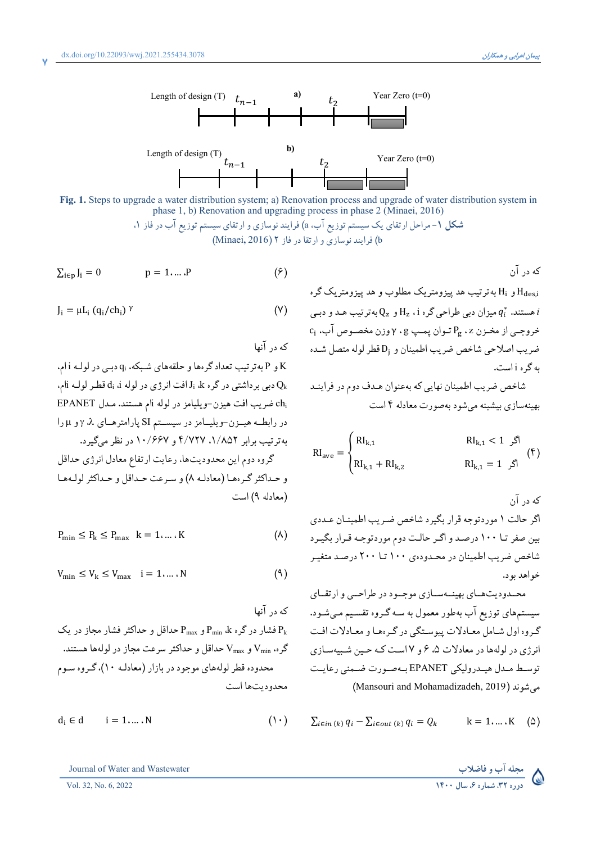

Fig. 1. Steps to upgrade a water distribution system; a) Renovation process and upgrade of water distribution system in phase 1, b) Renovation and upgrading process in phase 2 (Minaei, 2016)

> **شکل ۱**–مراحل ارتقای یک سیستم توزیع آب، a) فرایند نوسازی و ارتقای سیستم توزیع آب در فاز ۱. b) فرایند نوسازی و ارتقا در فاز Minaei, 2016)

$$
\sum_{i \in p} J_i = 0 \qquad \qquad p = 1, \dots, P \qquad \qquad (\mathfrak{H})
$$

$$
J_i = \mu L_i (q_i / ch_i)^{\gamma}
$$
 (Y)

که در آنها

K و P به ترتیب تعداد گرهها و حلقههای شبکه، qi دببی در لولـه j ام. ، دبی برداشتی در گره  $J_i$  افت انرژی در لوله i، i، فطر لولـه ilم، chi ضريب افت هيزن-ويليامز در لوله iام هستند. مـدل EPANET در رابطه هیمزن-ویلیمان در سیستم SI پارامترهای ۸، ۶ و H را به ترتیب برابر ۱/۸۵۲، ۴/۷۲۷ و ۱۰/۶۶۷ در نظر میگیرد. گروه دوم این محدودیتها، رعایت ارتفاع معادل انرژی حداقل و حـداكثر گـر همـا (معادلـه ۸) و سـرعت حـداقل و حـداكثر لولـههـا (معادله ۹) است

$$
P_{\min} \le P_k \le P_{\max} \quad k = 1, \dots, K \tag{A}
$$

$$
V_{\min} \le V_k \le V_{\max} \quad i = 1, \dots, N \tag{4}
$$

$$
d_i \in d \qquad i = 1, \dots, N \tag{1-}
$$

Journal of Water and Wastewater

Vol. 32, No. 6, 2022

که در آن و H<sub>i</sub> به ترتیب هدینزومتریک مطلوب و هدینزومتریک گره H<sub>i</sub> و H ميزان دبي طراحي گره Hz ، i هـ الله علم د و دبـي Hz ، i هستند.  $q_i^*$  $c_i$  خروجـي از مخـزن z،  $P_g$  تـوان يمـپ  $g$ ،  $\gamma$ وزن مخصـوص آب،  $c_i$ ضريب اصلاحي شاخص ضريب اطمينان و Di قطر لوله متصل شده به گره j است.

شاخص ضريب اطمينان نهايي كه بهعنوان هـدف دوم در فراينـد بهینهسازی بیشینه میشود بهصورت معادله ۴ است

$$
RI_{ave} = \begin{cases} RI_{k,1} & RI_{k,1} < 1 \, \text{ s} \\ RI_{k,1} + RI_{k,2} & RI_{k,1} = 1 \, \text{ s} \end{cases} \tag{\text{F}}
$$

که در آن اگر حالت ۱ موردتوجه قرار بگیرد شاخص ضریب اطمینـان عـددی بین صفر تـا ۱۰۰ درصـد و اگـر حالـت دوم موردتوجـه قـرار بگيـرد شاخص ضریب اطمینان در محـدودهی ۱۰۰ تــا ۲۰۰ درصـد متغیـر خواهد يو د.

محـدودیتهـای بهینـهسـازی موجـود در طراحـبی و ارتقـای سیستمهای توزیع آب بهطور معمول به سـه گـروه تقسـیم مـیشـود. گروه اول شامل معیادلات پیوستگی در گرهها و معیادلات افت انرژی در لولهها در معادلات ۵، ۶ و ۱۷ست کـه حـین شـبیهسـازی توسط مدل هيدروليكي EPANET بهصورت ضمني رعايت می شوند (Mansouri and Mohamadizadeh, 2019)

$$
\sum_{i \in in (k)} q_i - \sum_{i \in out (k)} q_i = Q_k \qquad k = 1, \dots, K \quad (\Delta)
$$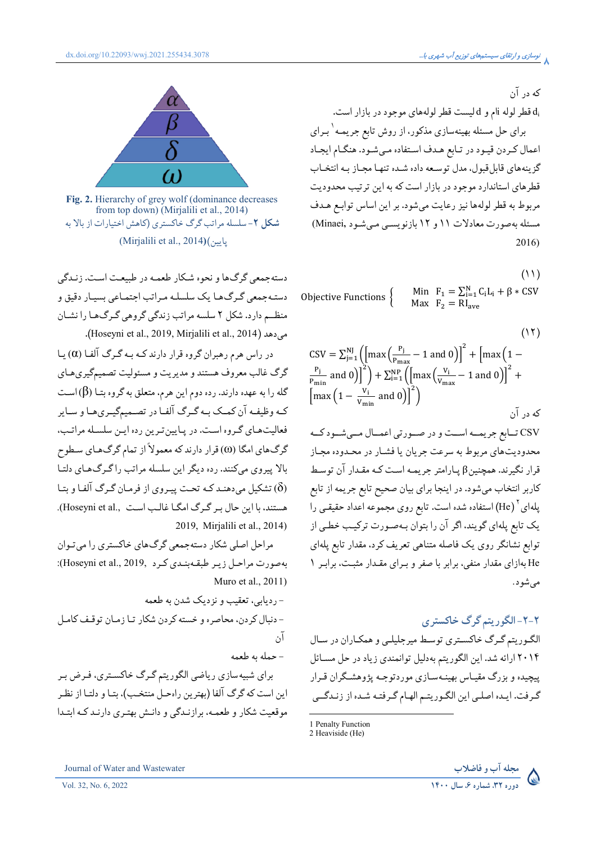

Fig. 2. Hierarchy of grey wolf (dominance decreases from top down) (Mirjalili et al., 2014) شکل ۲-سلسله مراتب گرگ خاکستری (کاهش اختیارات از بالا به ياسن)(Mirjalili et al., 2014)

دستهجمعي گرگ9ا و نحوه شكار طعمـه در طبيعـت اسـت. زنـدگي دستـهجمعي گـرگ١ط يک سلسلـه مـراتب اجتمـاعي بسيـار دقيق و منظــم دارد. شکل ۲ سلسه مراتب زندگی گروهی گـرگ&ا را نشــان می دهد (Hoseyni et al., 2019, Mirjalili et al., 2014).

در راس هرم رهبران گروه قرار دارند کـه بـه گـرگ آلفـا (a) يـا گرگ غالب معروف هستند و مدیریت و مسئولیت تصمیمگیریهـای گله را به عهده دارند. رده دوم این هرم، متعلق به گروه بتـا ( $\beta$ )اسـت کـه وظیفـه آن کمـک بـه گـرگ آلفـا در تصـمیمگیـريهـا و سـایر فعالیتهای گروه است. در پایین ترین رده این سلسله مراتب، گرگهای امگا (۵) قرار دارند که معمولاً از تمام گرگهای سطوح بالا پیروی میکنند. رده دیگر این سلسله مراتب را گرگ های دلتـا شکیل می دهند کـه تحـت پیـروی از فرمـان گـرگ آلفـا و بتـا $(\delta)$ هستند، با این حال بر گرگ امگـا غالـب اسـت ,Hoseyni et al. 2019, Mirjalili et al., 2014)

مراحل اصلي شکار دستهجمعي گرڳهاي خاکستري را مي تـوان بهصورت مراحل زيير طبقه بنيدي كيرد: Hoseyni et al., 2019): Muro et al., 2011)

-, دیایی، تعقیب و نزدیک شدن به طعمه - دنبال كردن، محاصره و خسته كردن شكار تـا زمـان توقـف كامـل آن - حمله به طعمه

براي شبيه سازي رياضي الگوريتم گرگ خاكسـتري، فـرض بـر این است که گرگ آلفا (بهترین راهحـل منتخـب)، بتـا و دلتـا از نظـر موقعیت شکار و طعمـه، برازنـدگی و دانـش بهتـری دارنـد کـه ابتـدا که در آن

d<sub>i</sub> قطر لوله نام و d ليست قطر لولههاى موجود در بازار است. برای حل مسئله بهینهسازی مذکور، از روش تابع جریمـه <sup>۱</sup> بـرای اعمال كردن قيـود در تـابع هـدف اسـتفاده مـيشـود. هنگـام ايجـاد گزینههای قابلقبول، مدل توسعه داده شـده تنهـا مجـاز بـه انتخـاب قطرهای استاندارد موجود در بازار است که به این ترتیب محدودیت مربوط به قطر لولهها نیز رعایت میشود. بر این اساس توابع هـدف مسئله بهصورت معادلات ١١ و ١٢ بازنويسي مي شـود ,Minaei) 2016)

 $(11)$ 

Min  $F_1 = \sum_{i=1}^{N} C_i L_i + \beta * CSV$ Objective Functions  $\{$ Max  $F_2 = RI_{ave}$ 

$$
(11)
$$

$$
CSV = \sum_{j=1}^{N} \left( \left[ \max \left( \frac{P_j}{P_{\text{max}}} - 1 \text{ and } 0 \right) \right]^2 + \left[ \max \left( 1 - \frac{P_j}{P_{\text{min}}} \text{ and } 0 \right) \right]^2 \right) + \sum_{i=1}^{NP} \left( \left[ \max \left( \frac{V_i}{V_{\text{max}}} - 1 \text{ and } 0 \right) \right]^2 + \left[ \max \left( 1 - \frac{V_i}{V_{\text{min}}} \text{ and } 0 \right) \right]^2 \right)
$$
  

$$
3 \left[ \max \left( 1 - \frac{V_i}{V_{\text{min}}} \text{ and } 0 \right) \right]^2
$$

$$
3 \left[ \max \left( 1 - \frac{V_i}{V_{\text{min}}} \text{ and } 0 \right) \right]^2
$$

$$
3 \left[ \max \left( 1 - \frac{V_i}{V_{\text{min}}} \text{ and } 0 \right) \right]^2
$$

$$
3 \left[ \max \left( 1 - \frac{V_i}{V_{\text{min}}} \text{ and } 0 \right) \right]^2
$$

محدودیتهای مربوط به سرعت جریان یا فشـار در محـدوده مجـاز قرار نگیرند. همچنینβ پـارامتر جریمـه اسـت کـه مقـدار آن توسـط کاربر انتخاب میشود. در اینجا برای بیان صحیح تابع جریمه از تابع پلهای<sup>۲</sup> (He) استفاده شده است. تابع روی مجموعه اعداد حقیقـی را یک تابع پلهای گویند، اگر آن را بتوان بهصورت ترکیب خطبی از توابع نشانگر روی یک فاصله متناهی تعریف کرد. مقدار تابع یلهای He بهازای مقدار منفی، برابر با صفر و بـرای مقـدار مثبـت، برابـر ١ مي شود.

# ۲-۲-الگوریتم گرگ خاکستری

الگوریتم گرگ خاکستری توسط میرجلیلمی و همکاران در سال ۲۰۱۴ ارائه شد. این الگوریتم بهدلیل توانمندی زیاد در حل مسـائل پیچیده و بزرگ مقیـاس بهینـهسـازي موردتوجـه پژوهشـگران قـرار گرفت. ایـده اصلـی این الگـوریتـم الهـام گـرفتـه شـده از زنـدگــی



<sup>1</sup> Penalty Function

<sup>2</sup> Heaviside (He)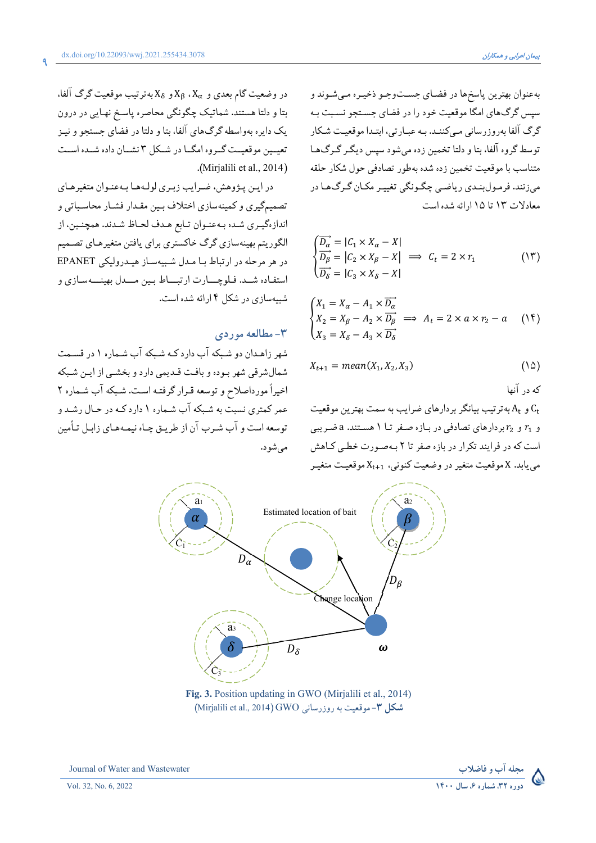در وضعیت گام بعدی و  $X_\alpha$  ،  $X_\alpha$  و  $X_\alpha$ به ترتیب موقعیت گرگ آلفا،

بتا و دلتا هستند. شماتیک چگونگی محاصره پاسخ نهایی در درون

یک دایره بهواسطه گرگ های آلفا، بتا و دلتا در فضای جستجو و نیبز

تعیمین موقعیت گیروه امگیا در شیکل ۳ نشیان داده شیده است

در اين پژوهش، ضرايب زېرې لولـههـا بـهعنـوان متغيرهـاي

تصمیمگیری و کمینهسازی اختلاف بـین مقـدار فشـار محاسـباتی و

اندازهگیری شده بهعنوان تابع هدف لحاظ شدند. همچنین، از الگوریتم بهینهسازی گرگ خاکستری برای یافتن متغیرهـای تصـمیم در هر مرحله در ارتباط با مدل شبیهساز هیدرولیکی EPANET استفياده شيد. فيلوچسارت ارتبساط سين مسدل بهينسه سيازي و

شهر زاهـدان دو شـبکه آب دارد کـه شـبکه آب شـماره ۱ در قسـمت شمال شرقي شهر بوده و بافت قـديمي دارد و بخشـي از ايـن شـبكه اخیراً مورداصلاح و توسعه قـرار گرفتـه اسـت. شـبكه آب شـماره ٢

عمر کمتری نسبت به شبکه آب شـماره ۱ دارد کـه در حـال رشـد و

توسعه است و آب شـرب آن از طريـق چـاه نيمـههـاي زابـل تـأمين

.(Mirjalili et al.,  $2014$ )

شسهسازی در شکل ۱۴رائه شده است.

- مطالعه موردی $-$ 

مي شو د.

بهعنوان بهترین پاسخها در فضای جستوجو ذخیـره مـیشـوند و سپس گرگ های امگا موقعیت خود را در فضای جستجو نسـبت بـه گرگ آلفا بهروزرسانی مبی کننـد. بـه عبـارتی، ابتـدا موقعیـت شـکار توسط گروه آلفا، بتا و دلتا تخمین زده می شود سپس دیگـر گـرگ۱مـا متناسب با موقعیت تخمین زده شده بهطور تصادفی حول شکار حلقه مي زنند. فرمول بنـدي رياضـي چگـونگي تغييـر مكـان گـرگـهـا در معادلات ١٣ تا ١٥ ارائه شده است

$$
\begin{cases}\n\overrightarrow{D_{\alpha}} = |C_1 \times X_{\alpha} - X| \\
\overrightarrow{D_{\beta}} = |C_2 \times X_{\beta} - X| \implies C_t = 2 \times r_1 \\
\overrightarrow{D_{\delta}} = |C_3 \times X_{\delta} - X|\n\end{cases}
$$
\n(17)

$$
\begin{cases}\nX_1 = X_\alpha - A_1 \times \overrightarrow{D_\alpha} \\
X_2 = X_\beta - A_2 \times \overrightarrow{D_\beta} \implies A_t = 2 \times a \times r_2 - a \quad (\text{1F}) \\
X_3 = X_\delta - A_3 \times \overrightarrow{D_\delta}\n\end{cases}
$$

$$
X_{t+1} = mean(X_1, X_2, X_3) \tag{10}
$$

که در آنها

و  $A_{\rm t}$  به ترتیب بیانگر بردارهای ضرایب به سمت بهترین موقعیت  ${\rm C_{t}}$ و  $r_1$  و  $r_2$ بردارهای تصادفی در بـازه صـفر تـا ۱ هسـتند. a ضـریبی است که در فرایند تکرار در بازه صفر تا ۲ بهصورت خطبی کیاهش می یابد. X موقعیت متغیر در وضعیت کنونی، X<sub>t+1</sub> موقعیت متغیـر



Fig. 3. Position updating in GWO (Mirjalili et al., 2014) (Mirjalili et al., 2014) GWO (نسانی Mirjalili et al., 2014)





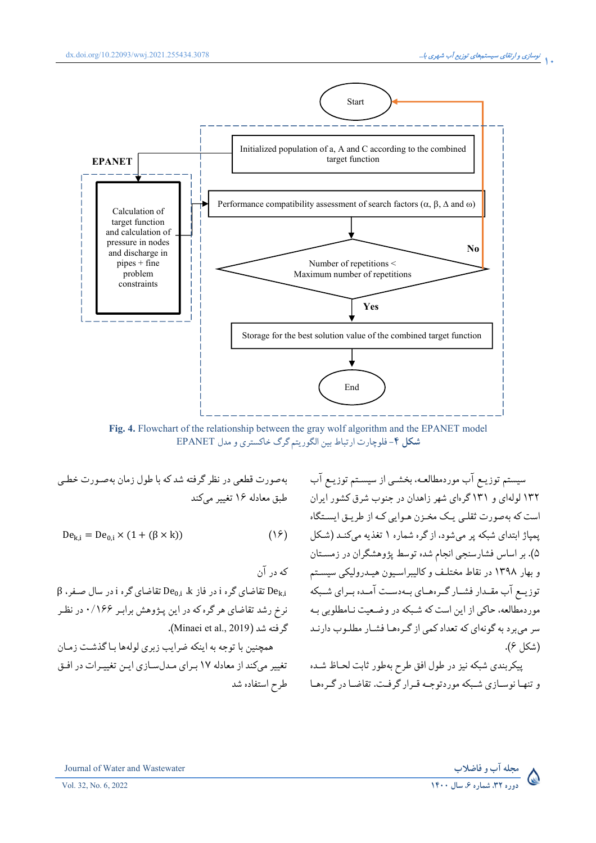

Fig. 4. Flowchart of the relationship between the gray wolf algorithm and the EPANET model شکل ۴- فلوچارت ارتباط بین الگوریتم گرگ خاکستری و مدل EPANET

سیستم توزیـع آب موردمطالعـه، بخشـی از سیسـتم توزیـع آب ۱۳۲ لولهای و ۱۳۱ گرمای شهر زاهدان در جنوب شرق کشور ایران است که مەصورت ثقلبی ییک مخبزن هیوایی کیه از طریبق ایستگاه یمیاژ ابتدای شبکه پر میشود، از گره شماره ۱ تغذیه میکنـد (شـکل ۵). بر اساس فشارسنجی انجام شده توسط پژوهشگران در زمسـتان و بهار ۱۳۹۸ در نقاط مختلـف و کالیبراسـیون هیـدرولیکی سیسـتم توزیــع آب مقــدار فشــار گــرههـای بــهدسـت آمــده بــرای شــبکه  ${\rm e}_{\rm k,i}$  تقاضای گره i در فاز D ${\rm e}_{\rm 0,i}$  تقاضای گره i در سال صـفر، β مور دمطالعه، حاکي از اين است که شـبکه در وضـعيت نـامطلوبي بـه (شكل ۶).

> پیکربندی شبکه نیز در طول افق طرح بهطور ثابت لحـاظ شـده و تنهـا نوسـازي شـبکه موردتوجـه قـرار گرفـت. تقاضـا در گـروهـا

$$
De_{k,i} = De_{0,i} \times (1 + (\beta \times k))
$$
 (19)

که در آن نرخ رشد تقاضای هر گره که در این پـژوهش برابـر ۱۶۶/۰ در نظـر

همچنین با توجه به اینکه ضرایب زبری لولهها بـاگذشـت زمـان تغییر میکند از معادله ۱۷ بـرای مـدلسـازی ایـن تغییـرات در افـق طرح استفاده شد

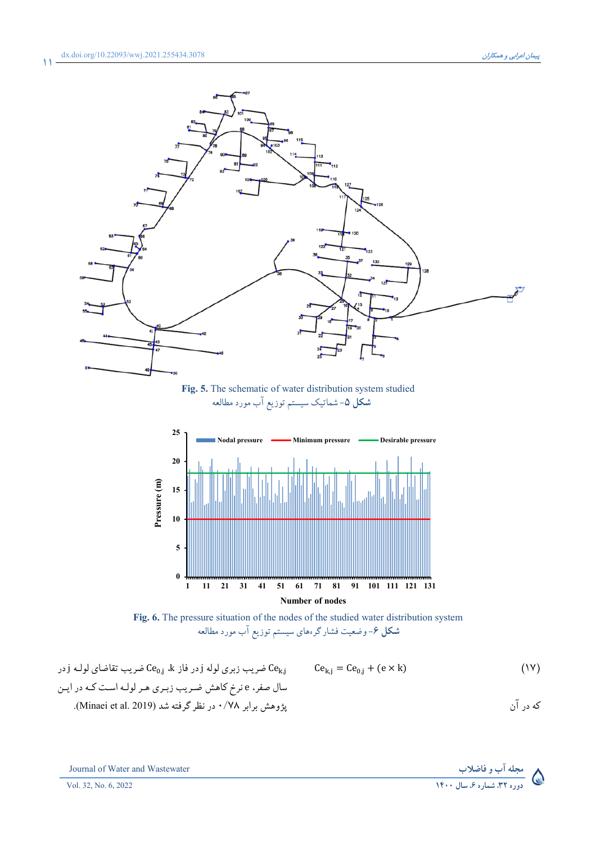$\mathbf{M}$ 



Fig. 5. The schematic of water distribution system studied<br>شکل ۵– شماتیک سیستم توزیع آب مورد مطالعه



**Fig. 6.** The pressure situation of the nodes of the studied water distribution system شکل ۶– وضعیت فشارگر های سیستم توزیع آب مورد مطالعه

$$
\begin{array}{lll} \text{ce}_{0,j} & \text{ce}_{0,j} & \text{ce}_{0,j} & \text{ce}_{0,j} & \text{ce}_{0,j} & \text{ce}_{0,j} = \text{Ce}_{0,j} + (\text{e} \times \text{k}) \\\\ & \text{ce}_{0,j} & \text{ce}_{0,j} & \text{ce}_{0,j} & \text{ce}_{0,j} = \text{Ce}_{0,j} + (\text{e} \times \text{k}) \\\\ & \text{wll} & \text{c}_{0,j} & \text{c}_{0,j} & \text{c}_{0,j} & \text{c}_{0,j} & \text{c}_{0,j} & \text{c}_{0,j} \\\\ \text{Minaei et al. 2019} & \text{c}_{0,j} & \text{c}_{0,j} & \text{c}_{0,j} & \text{c}_{0,j} & \text{c}_{0,j} & \text{c}_{0,j} & \text{c}_{0,j} \\\\ \text{Minaei et al. 2019} & \text{c}_{0,j} & \text{c}_{0,j} & \text{c}_{0,j} & \text{c}_{0,j} & \text{c}_{0,j} & \text{c}_{0,j} & \text{c}_{0,j} & \text{c}_{0,j} \\\\ \text{Minaei et al. 2019} & \text{c}_{0,j} & \text{c}_{0,j} & \text{c}_{0,j} & \text{c}_{0,j} & \text{c}_{0,j} & \text{c}_{0,j} & \text{c}_{0,j} & \text{c}_{0,j} & \text{c}_{0,j} & \text{c}_{0,j} & \text{c}_{0,j} \\\\ \text{Minaei et al. 2019} & \text{c}_{0,j} & \text{c}_{0,j} & \text{c}_{0,j} & \text{c}_{0,j} & \text{c}_{0,j} & \text{c}_{0,j} & \text{c}_{0,j} & \text{c}_{0,j} & \text{c}_{0,j} & \text{c}_{0,j} & \text{c}_{0,j} & \text{c}_{0,j} & \text{c}_{0,j} & \text{c}_{0,j} & \text{c}_{0,j}
$$

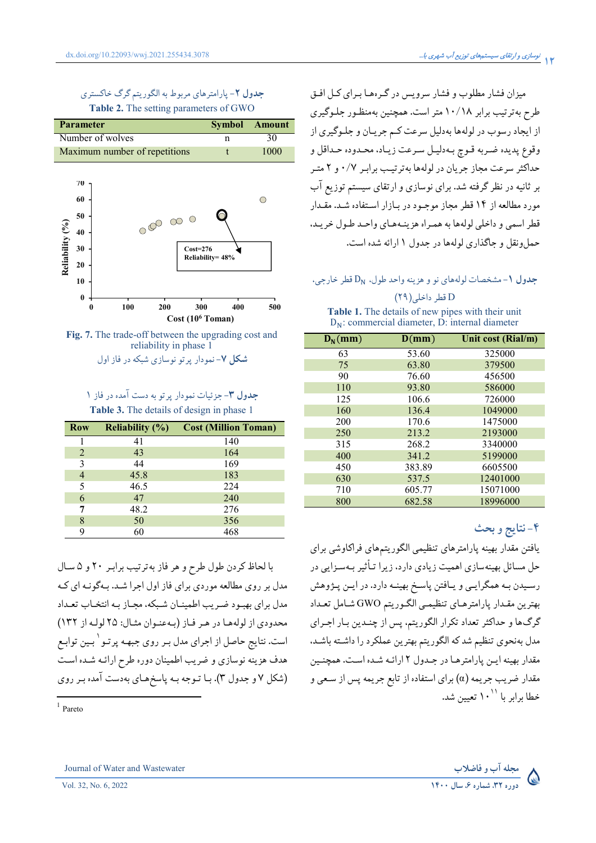# جدول ۲- پارامترهای مربوط به الگوریتم گرگ خاکستری Table 2. The setting parameters of GWO





# جدول ٣- جزئيات نمودار پرتو به دست آمده در فاز ١ Table 3. The details of design in phase 1

| <b>Row</b>   | Reliability $(\% )$ | <b>Cost (Million Toman)</b> |
|--------------|---------------------|-----------------------------|
|              | 41                  | 140                         |
| 2            | 43                  | 164                         |
| $\mathbf{3}$ | 44                  | 169                         |
|              | 45.8                | 183                         |
| 5            | 46.5                | 224                         |
| 6            | 47                  | 240                         |
|              | 48.2                | 276                         |
| 8            | 50                  | 356                         |
|              | 60                  | 468                         |

با لحاظ كردن طول طرح و هر فاز به ترتيب برابر ٢٠ و ۵ سال مدل بر روی مطالعه موردی برای فاز اول اجرا شـد. بـهگونـه ای کـه مدل برای بهبود ضرب اطمینان شبکه، محیاز به انتخباب تعیداد محدودي از لولهها در هر فاز (بهعنوان مثال: ٢٥ لوله از ١٣٢) است. نتایج حاصل از اجرای مدل بـر روی جبهـه پرتـو <sup>۱</sup> بـین توابـع هدف هزینه نوسازی و ضریب اطمینان دوره طرح ارائـه شـده اسـت (شکل ۷ و جدول ۳). بـا تـوجه بـه پاسخهـاي بهدست آمده بـر روي

 $1$  Pareto

میزان فشار مطلوب و فشار سرویس در گرهها بـرای کـل افـق طرح بهترتیب برابر ۱۰/۱۸ متر است. همچنین بهمنظـور جلـوگیری از ايجاد رسوب در لولهها بهدليل سرعت كـم جريـان و جلـوگيري از وقوع پديده ضربه قـوچ بـهدليـل سـرعت زيـاد، محـدوده حـداقل و حداکثر سرعت مجاز جریان در لولهها بهترتیب برابـر ۰/۷ و ۲ متـر بر ثانیه در نظر گرفته شد. برای نوسازی و ارتقای سیستم توزیع آب مورد مطالعه از ۱۴ قطر مجاز موجبود در بیازار استفاده شید. مقیدار قطر اسمي و داخلي لولهها به هميراه هزينـههـاي واحـد طـول خريـد، حمل ونقل و حاگذاری لولهها در حدول ۱ ارائه شده است.

# جدول ١- مشخصات لولههاي نو و هزينه واحد طول،  $D_N$ قطر خارجي،

# D قطر داخلي (٢٩)

| Table 1. The details of new pipes with their unit |  |  |  |
|---------------------------------------------------|--|--|--|
| $D_N$ : commercial diameter, D: internal diameter |  |  |  |

| $D_N$ (mm) | D(mm)  | Unit cost (Rial/m) |
|------------|--------|--------------------|
| 63         | 53.60  | 325000             |
| 75         | 63.80  | 379500             |
| 90         | 76.60  | 456500             |
| 110        | 93.80  | 586000             |
| 125        | 106.6  | 726000             |
| 160        | 136.4  | 1049000            |
| 200        | 170.6  | 1475000            |
| 250        | 213.2  | 2193000            |
| 315        | 268.2  | 3340000            |
| 400        | 341.2  | 5199000            |
| 450        | 383.89 | 6605500            |
| 630        | 537.5  | 12401000           |
| 710        | 605.77 | 15071000           |
| 800        | 682.58 | 18996000           |

# ۴-نتايج و بحث

يافتن مقدار بهينه يارامترهاي تنظيمي الگوريتمهاي فراكاوشي براي حل مسائل بهینهسازی اهمیت زیادی دارد، زیرا تـأثیر بـهسـزایی در رسيدن بـه همگرايـي و يـافتن ياسـخ بهينـه دارد. در ايـن يـژوهش بهترين مقـدار پارامترهـاي تنظيمـي الگـوريتم GWO شـامل تعـداد گرگها و حداکثر تعداد تکرار الگوریتم، پس از چندین بار اجرای مدل بهنحوی تنظیم شد که الگوریتم بهترین عملکرد را داشـته باشـد، مقدار بهینه این پارامترها در جـدول ۲ ارائـه شـده اسـت. همچنـین مقدار ضریب جریمه (a) برای استفاده از تابع جریمه پس از سـعی و خطا برابر با ۱۰<sup>۱۱</sup> تعیین شد.

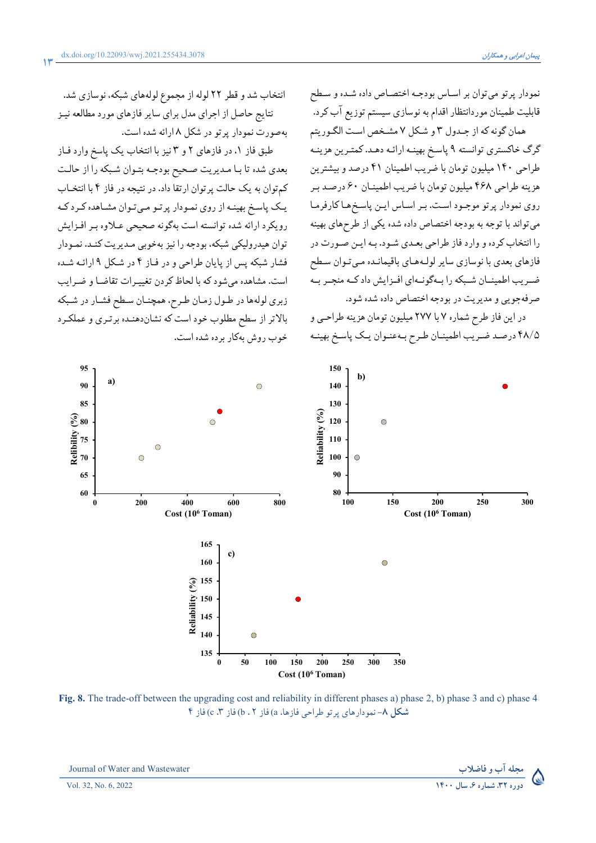نمودار پرتو میتوان بر اسـاس بودجـه اختصـاص داده شـده و سـطح قابلیت طمینان موردانتظار اقدام به نوسازی سیستم توزیع آب کرد.

همان گونه که از جـدول ۳ و شـکل ۷ مشـخص اسـت الگـوريتم گرگ خاکستری توانسته ۹ پاسخ بهینـه ارائـه دهـد. کمتـرین هزینـه طراحی ۱۴۰ میلیون تومان با ضریب اطمینان ۴۱ درصد و بیشترین هزينه طراحي ۴۶۸ ميليون تومان با ضريب اطمينـان ۶۰ درصـد بـر روی نمودار پرتو موجـود اسـت. بـر اسـاس ايـن پاسـخمهـاكارفرمـا می تواند با توجه به بودجه اختصاص داده شده یکی از طرحهای بهینه را انتخاب كرده و وارد فاز طراحي بعـدي شـود. بـه ايـن صـورت در فازهای بعدی با نوسازی سایر لولههای باقیمانـده مـیتوان سـطح ضـریب اطمینــان شــبکه را بــهگونــهای افــزایش داد کــه منجــر بــه صرفهجويي و مديريت در بودجه اختصاص داده شده شود.

در این فاز طرح شماره ۷ با ۲۷۷ میلیون تومان هزینه طراحبی و ۴۸/۵ درصد ضريب اطمينـان طـرح بـهعنـوان يـک پاسـخ بهينـه

انتخاب شد و قطر ٢٢ لوله از مجموع لولههاي شبكه، نوسازي شد. نتایج حاصل از اجرای مدل برای سایر فازهای مورد مطالعه نیـز بهصورت نمودار پرتو در شکل ۸ ارائه شده است.

طبق فاز ۱. در فازهای ۲ و ۳ نیز با انتخاب یک پاسخ وارد فـاز بعدي شده تا بـا مـديريت صـحيح بودجـه بتـوان شـبكه را از حالـت کمتوان به یک حالت پرتوان ارتقا داد. در نتیجه در فاز ۴ با انتخـاب یک پاسخ بهینـه از روی نمـودار پرتـو مـیتـوان مشـاهده کـرد کـه رویکرد ارائه شده توانسته است بهگونه صحیحی عبلاوه بیر افیزایش توان هیدرولیکی شبکه، بودجه را نیز بهخوبی مـدیریت کنـد. نمـودار فشار شبکه پس از پایان طراحی و در فیاز ۴ در شکل ۹ ارائـه شـده است. مشاهده می شود که با لحاظ کردن تغییرات تقاضا و ضرایب زبري لولهها در طـول زمـان طـرح، همچنـان سـطح فشـار در شـبكه بالاتر از سطح مطلوب خود است كه نشاندهنـده برتـرى و عملكـرد خوب روش پهکار پر ده شده است.



Fig. 8. The trade-off between the upgrading cost and reliability in different phases a) phase 2, b) phase 3 and c) phase 4 شكل ٨- نمو دارهاي پر تو طراحي فازها، a) فاز b ، ٢) فاز c ، ٣) فاز f



Journal of Water and Wastewater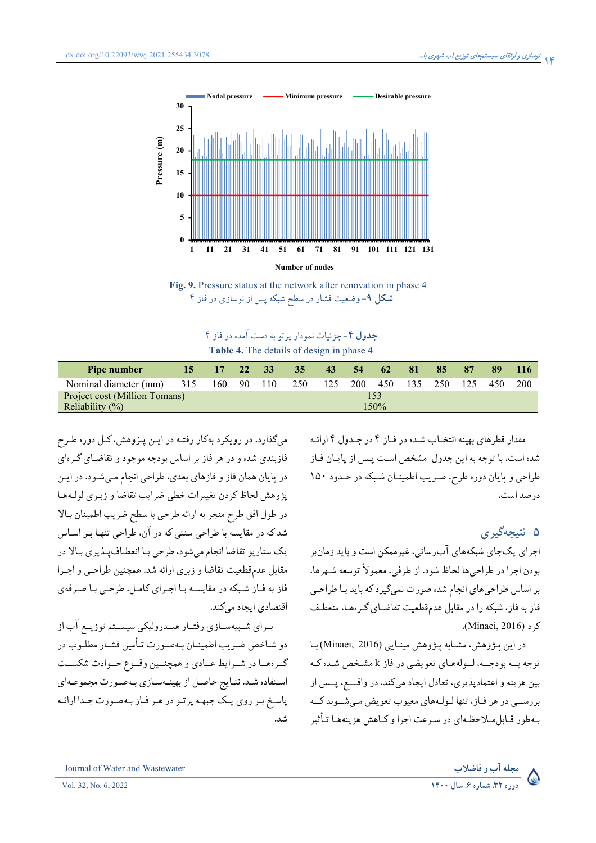



جدول ۴- جزئیات نمودار پرتو به دست آمده در فاز ۴ Table 4. The details of design in phase 4

| Pipe number                          | 15  | 17  | 22  | 33   | 35 <sup>°</sup> | 43  | 54         | $62^{\circ}$ | -81 | 85  | 87  | 89  |            |
|--------------------------------------|-----|-----|-----|------|-----------------|-----|------------|--------------|-----|-----|-----|-----|------------|
| Nominal diameter (mm)                | 315 | 160 | -90 | 110  | 250             | 125 | <b>200</b> | 450          | 135 | 250 | 125 | 450 | <b>200</b> |
| <b>Project cost (Million Tomans)</b> |     |     |     |      |                 |     |            |              |     |     |     |     |            |
| Reliability $(\%)$                   |     |     |     | 150% |                 |     |            |              |     |     |     |     |            |

می گذارد. در رویکرد بهکار رفتـه در ایـن پـژوهش، کـل دوره طـرح فازبندی شده و در هر فاز بر اساس بودجه موجود و تقاضـای گـرهای در پایان همان فاز و فازهای بعدی، طراحی انجام مـیشـود. در ایـن يژوهش لحاظ كردن تغييرات خطى ضرايب تقاضا و زبيري لوليهها در طول افق طرح منجر به ارائه طرحي با سطح ضريب اطمينان بـالا شد که در مقایسه با طراحی سنتی که در آن، طراحی تنهـا بـر اسـاس يک سناريو تقاضا انجام ميشود، طرحي بـا انعطـافپـذيري بـالا در مقابل عدمقطعيت تقاضا و زبري ارائه شد. همچنين طراحبي و اجـرا فاز به فـاز شـبکه در مقايسـه بـا اجـراي کامـل، طرحـي بـا صـرفهي اقتصادی ایجاد میکند.

بـراي شـبيهسـازي رفتـار هيـدروليكي سيسـتم توزيـع آب از دو شـاخص ضـريب اطمينـان بـهصـورت تـأمين فشـار مطلـوب در گیرهها در شیرایط عبادی و همچنیین وقیوع حیوادث شکست استفاده شد. نتـايج حاصـل از بهينـهسـازي بـهصـورت مجموعـهاي پاسخ بر روي يک جبهه پرتو در هر فاز بهصورت جـدا ارائـه شد. مقدار قطرهای بهینه انتخـاب شـده در فـاز ۴ در جـدول ۴ ارائـه شده است. با توجه به این جدول مشخص است پیس از پاییان فیاز طراحي و پايان دوره طرح، ضريب اطمينـان شـبكه در حـدود ١۵٠ در صد است.

# ۵-نتىجەگىرى

اجرای یکجای شبکههای آب رسانی، غیرممکن است و باید زمان بر بودن اجرا در طراحيها لحاظ شود. از طرفي، معمولاً توسعه شـهرها، بر اساس طراحیهای انجام شده صورت نمیگیرد که باید بـا طراحـی فاز به فاز، شبکه را در مقابل عدمقطعیت تقاضـای گـر مهـا، منعطـف ك د (Minaei, 2016).

در این پژوهش، مشابه پژوهش مینایی (Minaei, 2016) با توجه بــه بودجــه، لــولههـاي تعويضي در فاز k مشـخص شـده كـه بين هزينه و اعتمادپذيري، تعادل ايجاد ميكند. در واقـــع، پــس از بررســي در هر فـاز، تنها لـولـههاي معيوب تعويض مـيشــوند كــه بهطور قبایل میلاحظهای در سه عت اجرا و کیاهش هزینههیا تبأثیر

Vol. 32, No. 6, 2022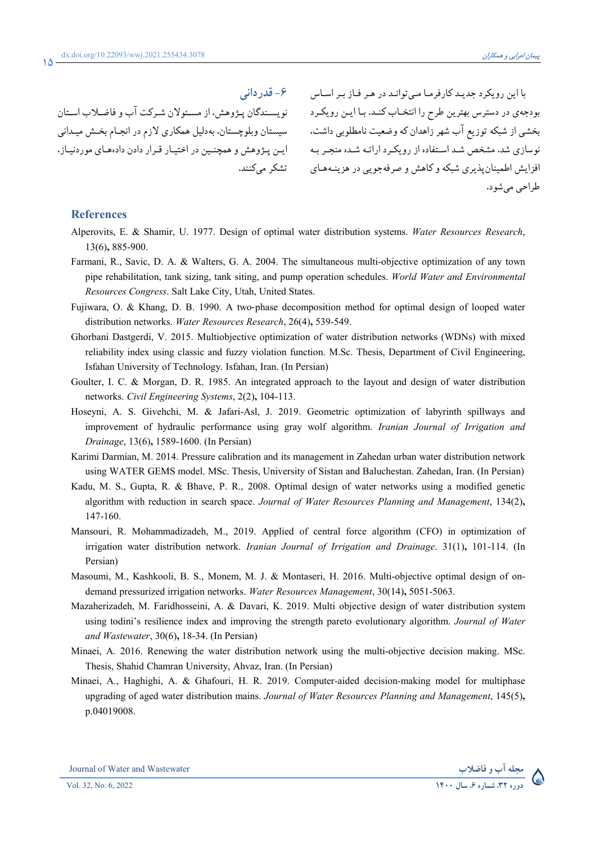#### **)>6Q 5**

نویسـندگان پـژوهش، از مسـئولان شـرکت اب و فاضـلاب اسـتان تشکر مے کنند.

با این رویکرد جدیـد کارفرمـا مـیتوانـد در هـر فـاز بـر اسـاس بودجهی در دسترس بهترین طرح را انتخـاب کنـد. بـا ایـن رویکـرد بخشی از شبکه توزیع اب شهر زاهدان که وضعیت نامطلوبی داشت، سیستان وبلوچستان. بهدلیل همکاری لازم در انجـام بخـش میـدانی نوسازی شد. مشخص شـد اسـتفاده از رویکـرد ارائـه شـده منجـر بـه ایـن پـژوهش و همچنـین در اختیـار قـرار دادن دادههـای موردنیـاز، افزایش اطمینانپذیری شبکه و کاهش و صرفهجویی در هزینـههـای طراحي مي شو د.

## **References**

**15**

- Alperovits, E. & Shamir, U. 1977. Design of optimal water distribution systems. *Water Resources Research*, 13(6)**,** 885-900.
- Farmani, R., Savic, D. A. & Walters, G. A. 2004. The simultaneous multi-objective optimization of any town pipe rehabilitation, tank sizing, tank siting, and pump operation schedules. *World Water and Environmental Resources Congress*. Salt Lake City, Utah, United States.
- Fujiwara, O. & Khang, D. B. 1990. A two‐phase decomposition method for optimal design of looped water distribution networks. *Water Resources Research*, 26(4)**,** 539-549.
- Ghorbani Dastgerdi, V. 2015. Multiobjective optimization of water distribution networks (WDNs) with mixed reliability index using classic and fuzzy violation function. M.Sc. Thesis, Department of Civil Engineering, Isfahan University of Technology. Isfahan, Iran. (In Persian)
- Goulter, I. C. & Morgan, D. R. 1985. An integrated approach to the layout and design of water distribution networks. *Civil Engineering Systems*, 2(2)**,** 104-113.
- Hoseyni, A. S. Givehchi, M. & Jafari-Asl, J. 2019. Geometric optimization of labyrinth spillways and improvement of hydraulic performance using gray wolf algorithm. *Iranian Journal of Irrigation and Drainage*, 13(6)**,** 1589-1600. (In Persian)
- Karimi Darmian, M. 2014. Pressure calibration and its management in Zahedan urban water distribution network using WATER GEMS model. MSc. Thesis, University of Sistan and Baluchestan. Zahedan, Iran. (In Persian)
- Kadu, M. S., Gupta, R. & Bhave, P. R., 2008. Optimal design of water networks using a modified genetic algorithm with reduction in search space. *Journal of Water Resources Planning and Management*, 134(2)**,** 147-160.
- Mansouri, R. Mohammadizadeh, M., 2019. Applied of central force algorithm (CFO) in optimization of irrigation water distribution network. *Iranian Journal of Irrigation and Drainage*. 31(1)**,** 101-114. (In Persian)
- Masoumi, M., Kashkooli, B. S., Monem, M. J. & Montaseri, H. 2016. Multi-objective optimal design of ondemand pressurized irrigation networks. *Water Resources Management*, 30(14)**,** 5051-5063.
- Mazaherizadeh, M. Faridhosseini, A. & Davari, K. 2019. Multi objective design of water distribution system using todini's resilience index and improving the strength pareto evolutionary algorithm. *Journal of Water and Wastewater*, 30(6)**,** 18-34. (In Persian)
- Minaei, A. 2016. Renewing the water distribution network using the multi-objective decision making. MSc. Thesis, Shahid Chamran University, Ahvaz, Iran. (In Persian)
- Minaei, A., Haghighi, A. & Ghafouri, H. R. 2019. Computer-aided decision-making model for multiphase upgrading of aged water distribution mains. *Journal of Water Resources Planning and Management*, 145(5)**,** p.04019008.